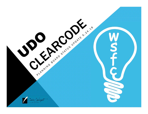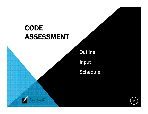# **CODE** ASSESSMENT

Coder Wright

Outline

Input

Schedule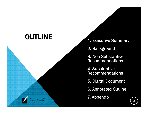### **OUTLINE**

 $\frac{1}{2}$ 

- 1. Executive Summary
- 2. Background
- 3. Non-Substantive Recommendations
- 4. Substantive Recommendations
- 5. Digital Document
- 6. Annotated Outline
- 7. Appendix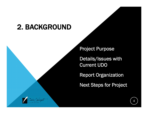## 2. BACKGROUND

Project Purpose

Details/Issues with Current UDO

Report Organization

Next Steps for Project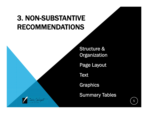# 3. NON-SUBSTANTIVE RECOMMENDATIONS

Structure & **Organization** 

Page Layout

**Text** 

Graphics

Summary Tables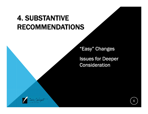## 4. SUBSTANTIVE RECOMMENDATIONS

"Easy" Changes

Issues for Deeper Consideration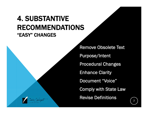### 4. SUBSTANTIVE RECOMMENDATIONS"EASY" CHANGES

Remove Obsolete Text Purpose/Intent Procedural Changes Enhance Clarity Document "Voice" Comply with State Law Revise Definitions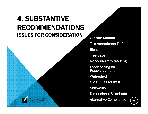### 4. SUBSTANTIVE RECOMMENDATIONSISSUES FOR CONSIDERATION

Outside Manual Text Amendment Reform **Signs** Tree Save Nonconformity tracking Landscaping for Redevelopment Watershed GMA Rules for Infill Sidewalks Dimensional Standards Alternative Compliance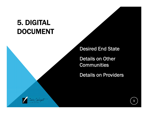# 5. DIGITAL DOCUMENT

Desired End State

Details on Other Communities

Details on Providers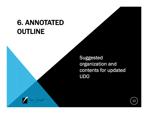# 6. ANNOTATED OUTLINE

Suggested organization and contents for updated UDO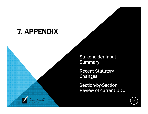#### 7. APPENDIX

 $\frac{1}{2}$ 

Stakeholder Input **Summary** 

Recent Statutory **Changes** 

Section-by-Section Review of current UDO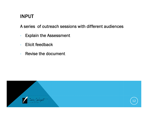#### INPUT

A series of outreach sessions with different audiences

- -Explain the Assessment
- Elicit feedback
- -- Revise the document

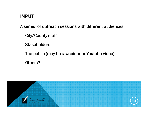#### INPUT

A series of outreach sessions with different audiences

- -City/County staff
- -- Stakeholders
- -The public (may be a webinar or Youtube video)
- -Others?